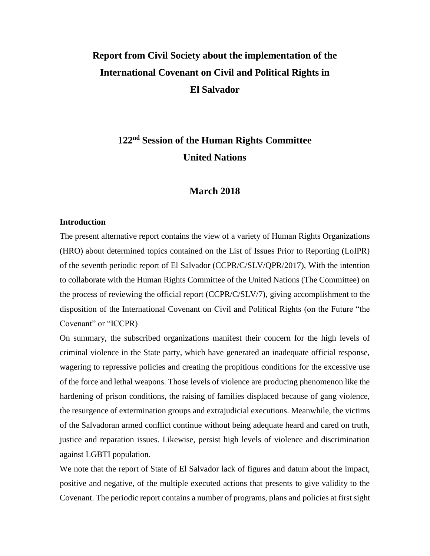# **Report from Civil Society about the implementation of the International Covenant on Civil and Political Rights in El Salvador**

# **122nd Session of the Human Rights Committee United Nations**

### **March 2018**

#### **Introduction**

The present alternative report contains the view of a variety of Human Rights Organizations (HRO) about determined topics contained on the List of Issues Prior to Reporting (LoIPR) of the seventh periodic report of El Salvador (CCPR/C/SLV/QPR/2017), With the intention to collaborate with the Human Rights Committee of the United Nations (The Committee) on the process of reviewing the official report (CCPR/C/SLV/7), giving accomplishment to the disposition of the International Covenant on Civil and Political Rights (on the Future "the Covenant" or "ICCPR)

On summary, the subscribed organizations manifest their concern for the high levels of criminal violence in the State party, which have generated an inadequate official response, wagering to repressive policies and creating the propitious conditions for the excessive use of the force and lethal weapons. Those levels of violence are producing phenomenon like the hardening of prison conditions, the raising of families displaced because of gang violence, the resurgence of extermination groups and extrajudicial executions. Meanwhile, the victims of the Salvadoran armed conflict continue without being adequate heard and cared on truth, justice and reparation issues. Likewise, persist high levels of violence and discrimination against LGBTI population.

We note that the report of State of El Salvador lack of figures and datum about the impact, positive and negative, of the multiple executed actions that presents to give validity to the Covenant. The periodic report contains a number of programs, plans and policies at first sight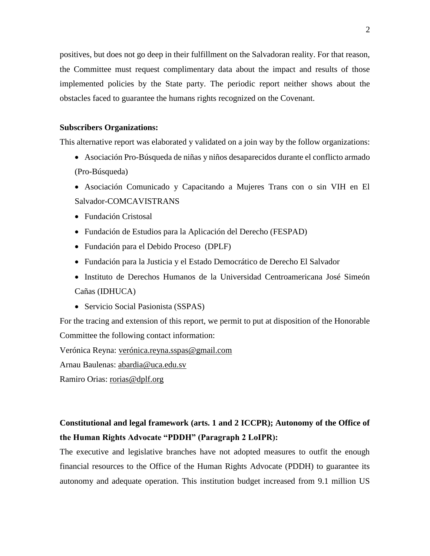positives, but does not go deep in their fulfillment on the Salvadoran reality. For that reason, the Committee must request complimentary data about the impact and results of those implemented policies by the State party. The periodic report neither shows about the obstacles faced to guarantee the humans rights recognized on the Covenant.

#### **Subscribers Organizations:**

This alternative report was elaborated y validated on a join way by the follow organizations:

- Asociación Pro-Búsqueda de niñas y niños desaparecidos durante el conflicto armado (Pro-Búsqueda)
- Asociación Comunicado y Capacitando a Mujeres Trans con o sin VIH en El Salvador-COMCAVISTRANS
- Fundación Cristosal
- Fundación de Estudios para la Aplicación del Derecho (FESPAD)
- Fundación para el Debido Proceso (DPLF)
- Fundación para la Justicia y el Estado Democrático de Derecho El Salvador
- Instituto de Derechos Humanos de la Universidad Centroamericana José Simeón Cañas (IDHUCA)
- Servicio Social Pasionista (SSPAS)

For the tracing and extension of this report, we permit to put at disposition of the Honorable Committee the following contact information:

Verónica Reyna: [verónica.reyna.sspas@gmail.com](mailto:verónica.reyna.sspas@gmail.com)

Arnau Baulenas: [abardia@uca.edu.sv](mailto:abardia@uca.edu.sv)

Ramiro Orias: [rorias@dplf.org](mailto:rorias@dplf.org)

### **Constitutional and legal framework (arts. 1 and 2 ICCPR); Autonomy of the Office of the Human Rights Advocate "PDDH" (Paragraph 2 LoIPR):**

The executive and legislative branches have not adopted measures to outfit the enough financial resources to the Office of the Human Rights Advocate (PDDH) to guarantee its autonomy and adequate operation. This institution budget increased from 9.1 million US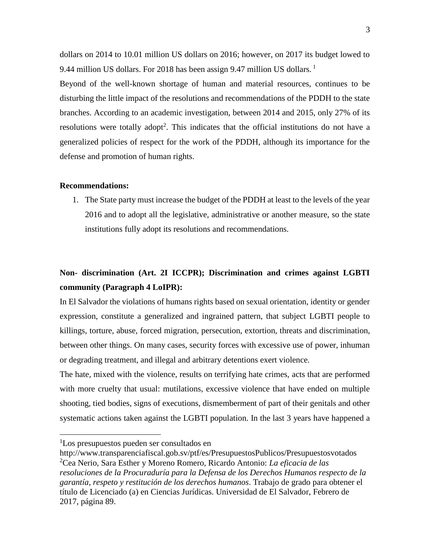dollars on 2014 to 10.01 million US dollars on 2016; however, on 2017 its budget lowed to 9.44 million US dollars. For 2018 has been assign 9.47 million US dollars.<sup>1</sup>

Beyond of the well-known shortage of human and material resources, continues to be disturbing the little impact of the resolutions and recommendations of the PDDH to the state branches. According to an academic investigation, between 2014 and 2015, only 27% of its resolutions were totally adopt<sup>2</sup>. This indicates that the official institutions do not have a generalized policies of respect for the work of the PDDH, although its importance for the defense and promotion of human rights.

#### **Recommendations:**

1. The State party must increase the budget of the PDDH at least to the levels of the year 2016 and to adopt all the legislative, administrative or another measure, so the state institutions fully adopt its resolutions and recommendations.

# **Non- discrimination (Art. 2I ICCPR); Discrimination and crimes against LGBTI community (Paragraph 4 LoIPR):**

In El Salvador the violations of humans rights based on sexual orientation, identity or gender expression, constitute a generalized and ingrained pattern, that subject LGBTI people to killings, torture, abuse, forced migration, persecution, extortion, threats and discrimination, between other things. On many cases, security forces with excessive use of power, inhuman or degrading treatment, and illegal and arbitrary detentions exert violence.

The hate, mixed with the violence, results on terrifying hate crimes, acts that are performed with more cruelty that usual: mutilations, excessive violence that have ended on multiple shooting, tied bodies, signs of executions, dismemberment of part of their genitals and other systematic actions taken against the LGBTI population. In the last 3 years have happened a

<sup>1</sup>Los presupuestos pueden ser consultados en

http://www.transparenciafiscal.gob.sv/ptf/es/PresupuestosPublicos/Presupuestosvotados <sup>2</sup>Cea Nerio, Sara Esther y Moreno Romero, Ricardo Antonio: *La eficacia de las resoluciones de la Procuraduría para la Defensa de los Derechos Humanos respecto de la garantía, respeto y restitución de los derechos humanos*. Trabajo de grado para obtener el título de Licenciado (a) en Ciencias Jurídicas. Universidad de El Salvador, Febrero de 2017, página 89.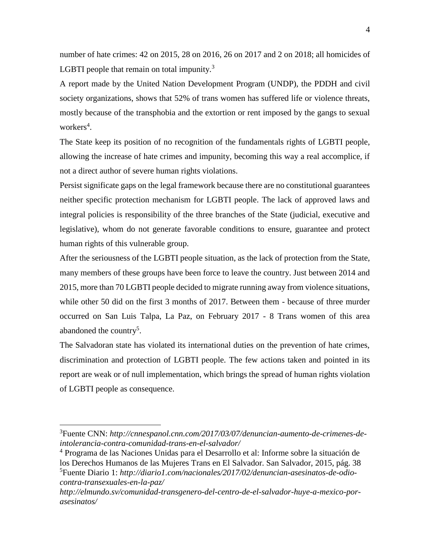number of hate crimes: 42 on 2015, 28 on 2016, 26 on 2017 and 2 on 2018; all homicides of LGBTI people that remain on total impunity. $3$ 

A report made by the United Nation Development Program (UNDP), the PDDH and civil society organizations, shows that 52% of trans women has suffered life or violence threats, mostly because of the transphobia and the extortion or rent imposed by the gangs to sexual workers<sup>4</sup>.

The State keep its position of no recognition of the fundamentals rights of LGBTI people, allowing the increase of hate crimes and impunity, becoming this way a real accomplice, if not a direct author of severe human rights violations.

Persist significate gaps on the legal framework because there are no constitutional guarantees neither specific protection mechanism for LGBTI people. The lack of approved laws and integral policies is responsibility of the three branches of the State (judicial, executive and legislative), whom do not generate favorable conditions to ensure, guarantee and protect human rights of this vulnerable group.

After the seriousness of the LGBTI people situation, as the lack of protection from the State, many members of these groups have been force to leave the country. Just between 2014 and 2015, more than 70 LGBTI people decided to migrate running away from violence situations, while other 50 did on the first 3 months of 2017. Between them - because of three murder occurred on San Luis Talpa, La Paz, on February 2017 - 8 Trans women of this area abandoned the country<sup>5</sup>.

The Salvadoran state has violated its international duties on the prevention of hate crimes, discrimination and protection of LGBTI people. The few actions taken and pointed in its report are weak or of null implementation, which brings the spread of human rights violation of LGBTI people as consequence.

 $\overline{a}$ 

<sup>4</sup> Programa de las Naciones Unidas para el Desarrollo et al: Informe sobre la situación de los Derechos Humanos de las Mujeres Trans en El Salvador. San Salvador, 2015, pág. 38 <sup>5</sup>Fuente Diario 1: *http://diario1.com/nacionales/2017/02/denuncian-asesinatos-de-odiocontra-transexuales-en-la-paz/*

<sup>3</sup>Fuente CNN: *http://cnnespanol.cnn.com/2017/03/07/denuncian-aumento-de-crimenes-deintolerancia-contra-comunidad-trans-en-el-salvador/*

*http://elmundo.sv/comunidad-transgenero-del-centro-de-el-salvador-huye-a-mexico-porasesinatos/*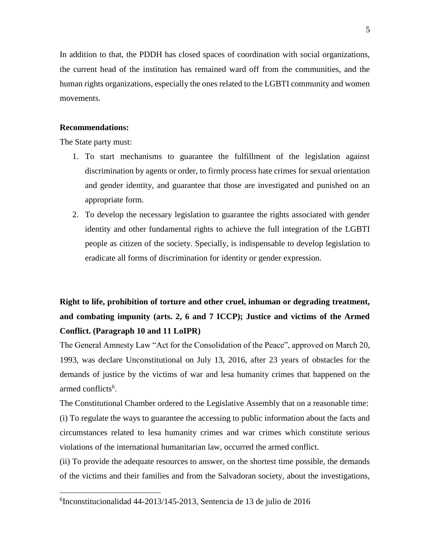In addition to that, the PDDH has closed spaces of coordination with social organizations, the current head of the institution has remained ward off from the communities, and the human rights organizations, especially the ones related to the LGBTI community and women movements.

#### **Recommendations:**

The State party must:

 $\overline{a}$ 

- 1. To start mechanisms to guarantee the fulfillment of the legislation against discrimination by agents or order, to firmly process hate crimes for sexual orientation and gender identity, and guarantee that those are investigated and punished on an appropriate form.
- 2. To develop the necessary legislation to guarantee the rights associated with gender identity and other fundamental rights to achieve the full integration of the LGBTI people as citizen of the society. Specially, is indispensable to develop legislation to eradicate all forms of discrimination for identity or gender expression.

# **Right to life, prohibition of torture and other cruel, inhuman or degrading treatment, and combating impunity (arts. 2, 6 and 7 ICCP); Justice and victims of the Armed Conflict. (Paragraph 10 and 11 LoIPR)**

The General Amnesty Law "Act for the Consolidation of the Peace", approved on March 20, 1993, was declare Unconstitutional on July 13, 2016, after 23 years of obstacles for the demands of justice by the victims of war and lesa humanity crimes that happened on the armed conflicts<sup>6</sup>.

The Constitutional Chamber ordered to the Legislative Assembly that on a reasonable time: (i) To regulate the ways to guarantee the accessing to public information about the facts and circumstances related to lesa humanity crimes and war crimes which constitute serious violations of the international humanitarian law, occurred the armed conflict.

(ii) To provide the adequate resources to answer, on the shortest time possible, the demands of the victims and their families and from the Salvadoran society, about the investigations,

<sup>6</sup> Inconstitucionalidad 44-2013/145-2013, Sentencia de 13 de julio de 2016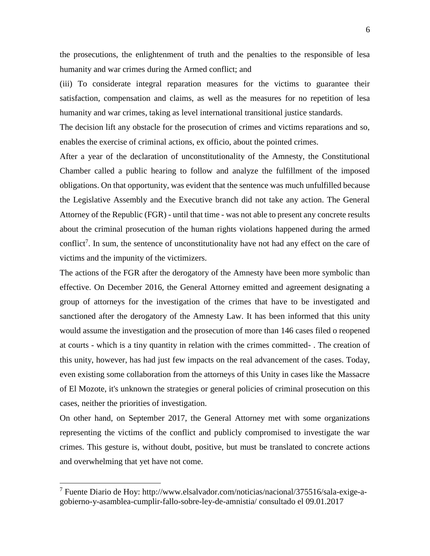the prosecutions, the enlightenment of truth and the penalties to the responsible of lesa humanity and war crimes during the Armed conflict; and

(iii) To considerate integral reparation measures for the victims to guarantee their satisfaction, compensation and claims, as well as the measures for no repetition of lesa humanity and war crimes, taking as level international transitional justice standards.

The decision lift any obstacle for the prosecution of crimes and victims reparations and so, enables the exercise of criminal actions, ex officio, about the pointed crimes.

After a year of the declaration of unconstitutionality of the Amnesty, the Constitutional Chamber called a public hearing to follow and analyze the fulfillment of the imposed obligations. On that opportunity, was evident that the sentence was much unfulfilled because the Legislative Assembly and the Executive branch did not take any action. The General Attorney of the Republic (FGR) - until that time - was not able to present any concrete results about the criminal prosecution of the human rights violations happened during the armed conflict<sup>7</sup>. In sum, the sentence of unconstitutionality have not had any effect on the care of victims and the impunity of the victimizers.

The actions of the FGR after the derogatory of the Amnesty have been more symbolic than effective. On December 2016, the General Attorney emitted and agreement designating a group of attorneys for the investigation of the crimes that have to be investigated and sanctioned after the derogatory of the Amnesty Law. It has been informed that this unity would assume the investigation and the prosecution of more than 146 cases filed o reopened at courts - which is a tiny quantity in relation with the crimes committed- . The creation of this unity, however, has had just few impacts on the real advancement of the cases. Today, even existing some collaboration from the attorneys of this Unity in cases like the Massacre of El Mozote, it's unknown the strategies or general policies of criminal prosecution on this cases, neither the priorities of investigation.

On other hand, on September 2017, the General Attorney met with some organizations representing the victims of the conflict and publicly compromised to investigate the war crimes. This gesture is, without doubt, positive, but must be translated to concrete actions and overwhelming that yet have not come.

<sup>7</sup> Fuente Diario de Hoy: http://www.elsalvador.com/noticias/nacional/375516/sala-exige-agobierno-y-asamblea-cumplir-fallo-sobre-ley-de-amnistia/ consultado el 09.01.2017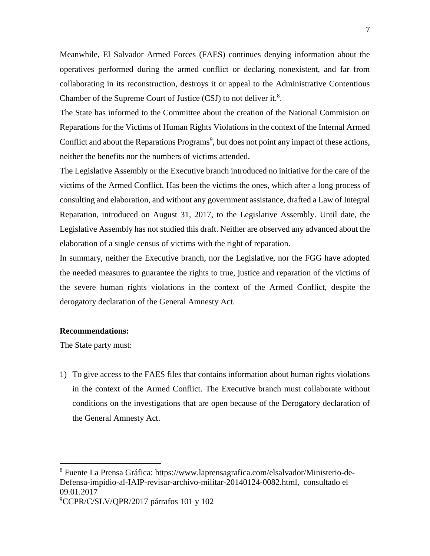Meanwhile, El Salvador Armed Forces (FAES) continues denying information about the operatives performed during the armed conflict or declaring nonexistent, and far from collaborating in its reconstruction, destroys it or appeal to the Administrative Contentious Chamber of the Supreme Court of Justice (CSJ) to not deliver it.<sup>8</sup>.

The State has informed to the Committee about the creation of the National Commision on Reparations for the Victims of Human Rights Violations in the context of the Internal Armed Conflict and about the Reparations Programs<sup>9</sup>, but does not point any impact of these actions, neither the benefits nor the numbers of victims attended.

The Legislative Assembly or the Executive branch introduced no initiative for the care of the victims of the Armed Conflict. Has been the victims the ones, which after a long process of consulting and elaboration, and without any government assistance, drafted a Law of Integral Reparation, introduced on August 31, 2017, to the Legislative Assembly. Until date, the Legislative Assembly has not studied this draft. Neither are observed any advanced about the elaboration of a single census of victims with the right of reparation.

In summary, neither the Executive branch, nor the Legislative, nor the FGG have adopted the needed measures to guarantee the rights to true, justice and reparation of the victims of the severe human rights violations in the context of the Armed Conflict, despite the derogatory declaration of the General Amnesty Act.

#### **Recommendations:**

The State party must:

 $\overline{a}$ 

1) To give access to the FAES files that contains information about human rights violations in the context of the Armed Conflict. The Executive branch must collaborate without conditions on the investigations that are open because of the Derogatory declaration of the General Amnesty Act.

<sup>8</sup> Fuente La Prensa Gráfica: https://www.laprensagrafica.com/elsalvador/Ministerio-de-Defensa-impidio-al-IAIP-revisar-archivo-militar-20140124-0082.html, consultado el 09.01.2017 <sup>9</sup>CCPR/C/SLV/QPR/2017 párrafos 101 y 102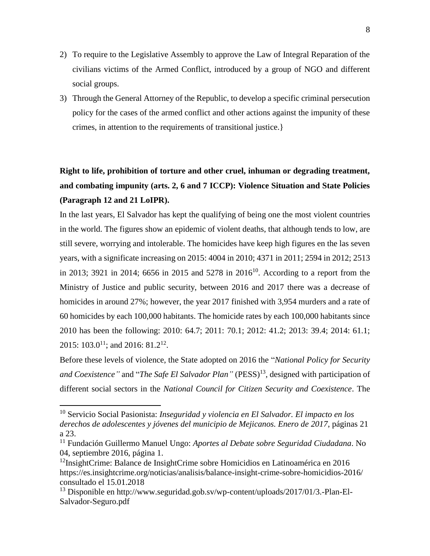- 2) To require to the Legislative Assembly to approve the Law of Integral Reparation of the civilians victims of the Armed Conflict, introduced by a group of NGO and different social groups.
- 3) Through the General Attorney of the Republic, to develop a specific criminal persecution policy for the cases of the armed conflict and other actions against the impunity of these crimes, in attention to the requirements of transitional justice.}

# **Right to life, prohibition of torture and other cruel, inhuman or degrading treatment, and combating impunity (arts. 2, 6 and 7 ICCP): Violence Situation and State Policies (Paragraph 12 and 21 LoIPR).**

In the last years, El Salvador has kept the qualifying of being one the most violent countries in the world. The figures show an epidemic of violent deaths, that although tends to low, are still severe, worrying and intolerable. The homicides have keep high figures en the las seven years, with a significate increasing on 2015: 4004 in 2010; 4371 in 2011; 2594 in 2012; 2513 in 2013; 3921 in 2014; 6656 in 2015 and 5278 in 2016<sup>10</sup>. According to a report from the Ministry of Justice and public security, between 2016 and 2017 there was a decrease of homicides in around 27%; however, the year 2017 finished with 3,954 murders and a rate of 60 homicides by each 100,000 habitants. The homicide rates by each 100,000 habitants since 2010 has been the following: 2010: 64.7; 2011: 70.1; 2012: 41.2; 2013: 39.4; 2014: 61.1; 2015: 103.0<sup>11</sup>; and 2016: 81.2<sup>12</sup>.

Before these levels of violence, the State adopted on 2016 the "*National Policy for Security*  and Coexistence" and "*The Safe El Salvador Plan*" (PESS)<sup>13</sup>, designed with participation of different social sectors in the *National Council for Citizen Security and Coexistence*. The

<sup>10</sup> Servicio Social Pasionista: *Inseguridad y violencia en El Salvador. El impacto en los derechos de adolescentes y jóvenes del municipio de Mejicanos. Enero de 2017*, páginas 21 a 23.

<sup>11</sup> Fundación Guillermo Manuel Ungo: *Aportes al Debate sobre Seguridad Ciudadana*. No 04, septiembre 2016, página 1.

<sup>12</sup>InsightCrime: Balance de InsightCrime sobre Homicidios en Latinoamérica en 2016 https://es.insightcrime.org/noticias/analisis/balance-insight-crime-sobre-homicidios-2016/ consultado el 15.01.2018

<sup>&</sup>lt;sup>13</sup> Disponible en http://www.seguridad.gob.sv/wp-content/uploads/2017/01/3.-Plan-El-Salvador-Seguro.pdf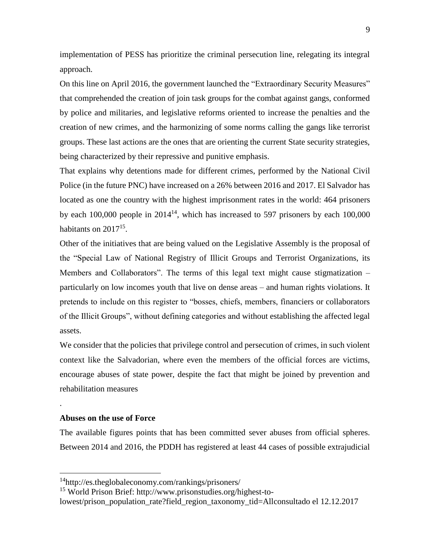implementation of PESS has prioritize the criminal persecution line, relegating its integral approach.

On this line on April 2016, the government launched the "Extraordinary Security Measures" that comprehended the creation of join task groups for the combat against gangs, conformed by police and militaries, and legislative reforms oriented to increase the penalties and the creation of new crimes, and the harmonizing of some norms calling the gangs like terrorist groups. These last actions are the ones that are orienting the current State security strategies, being characterized by their repressive and punitive emphasis.

That explains why detentions made for different crimes, performed by the National Civil Police (in the future PNC) have increased on a 26% between 2016 and 2017. El Salvador has located as one the country with the highest imprisonment rates in the world: 464 prisoners by each  $100,000$  people in  $2014^{14}$ , which has increased to 597 prisoners by each  $100,000$ habitants on 2017<sup>15</sup>.

Other of the initiatives that are being valued on the Legislative Assembly is the proposal of the "Special Law of National Registry of Illicit Groups and Terrorist Organizations, its Members and Collaborators". The terms of this legal text might cause stigmatization – particularly on low incomes youth that live on dense areas – and human rights violations. It pretends to include on this register to "bosses, chiefs, members, financiers or collaborators of the Illicit Groups", without defining categories and without establishing the affected legal assets.

We consider that the policies that privilege control and persecution of crimes, in such violent context like the Salvadorian, where even the members of the official forces are victims, encourage abuses of state power, despite the fact that might be joined by prevention and rehabilitation measures

#### **Abuses on the use of Force**

.

 $\overline{a}$ 

The available figures points that has been committed sever abuses from official spheres. Between 2014 and 2016, the PDDH has registered at least 44 cases of possible extrajudicial

<sup>14</sup>http://es.theglobaleconomy.com/rankings/prisoners/

<sup>15</sup> World Prison Brief: http://www.prisonstudies.org/highest-to-

lowest/prison\_population\_rate?field\_region\_taxonomy\_tid=Allconsultado el 12.12.2017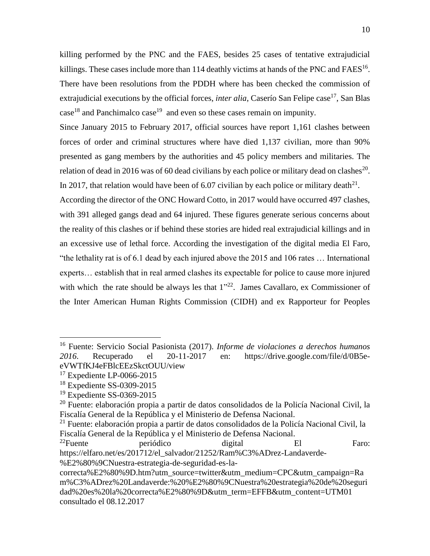killing performed by the PNC and the FAES, besides 25 cases of tentative extrajudicial killings. These cases include more than 114 deathly victims at hands of the PNC and FAES<sup>16</sup>. There have been resolutions from the PDDH where has been checked the commission of extrajudicial executions by the official forces, *inter alia*, Caserío San Felipe case<sup>17</sup>, San Blas  $case<sup>18</sup>$  and Panchimalco case<sup>19</sup> and even so these cases remain on impunity.

Since January 2015 to February 2017, official sources have report 1,161 clashes between forces of order and criminal structures where have died 1,137 civilian, more than 90% presented as gang members by the authorities and 45 policy members and militaries. The relation of dead in 2016 was of 60 dead civilians by each police or military dead on clashes<sup>20</sup>. In 2017, that relation would have been of 6.07 civilian by each police or military death<sup>21</sup>.

According the director of the ONC Howard Cotto, in 2017 would have occurred 497 clashes, with 391 alleged gangs dead and 64 injured. These figures generate serious concerns about the reality of this clashes or if behind these stories are hided real extrajudicial killings and in an excessive use of lethal force. According the investigation of the digital media El Faro, "the lethality rat is of 6.1 dead by each injured above the 2015 and 106 rates … International experts… establish that in real armed clashes its expectable for police to cause more injured with which the rate should be always les that  $1^{322}$ . James Cavallaro, ex Commissioner of the Inter American Human Rights Commission (CIDH) and ex Rapporteur for Peoples

<sup>16</sup> Fuente: Servicio Social Pasionista (2017). *Informe de violaciones a derechos humanos 2016*. Recuperado el 20-11-2017 en: https://drive.google.com/file/d/0B5eeVWTfKJ4eFBlcEEzSkctOUU/view

 $17$  Expediente LP-0066-2015

<sup>18</sup> Expediente SS-0309-2015

<sup>19</sup> Expediente SS-0369-2015

<sup>20</sup> Fuente: elaboración propia a partir de datos consolidados de la Policía Nacional Civil, la Fiscalía General de la República y el Ministerio de Defensa Nacional.

<sup>21</sup> Fuente: elaboración propia a partir de datos consolidados de la Policía Nacional Civil, la Fiscalía General de la República y el Ministerio de Defensa Nacional.

 $22$ Fuente periódico digital El Faro: https://elfaro.net/es/201712/el\_salvador/21252/Ram%C3%ADrez-Landaverde- %E2%80%9CNuestra-estrategia-de-seguridad-es-la-

correcta%E2%80%9D.htm?utm\_source=twitter&utm\_medium=CPC&utm\_campaign=Ra m%C3%ADrez%20Landaverde:%20%E2%80%9CNuestra%20estrategia%20de%20seguri dad%20es%20la%20correcta%E2%80%9D&utm\_term=EFFB&utm\_content=UTM01 consultado el 08.12.2017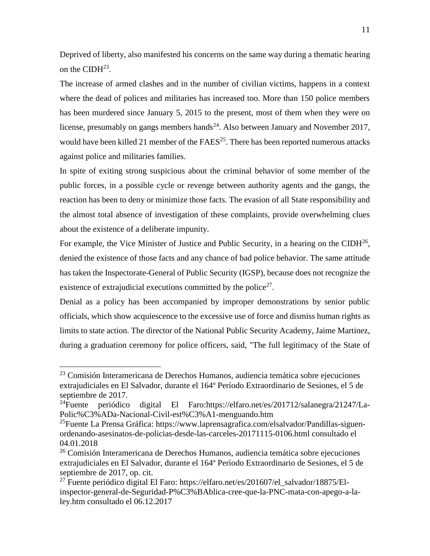Deprived of liberty, also manifested his concerns on the same way during a thematic hearing on the CIDH $^{23}$ .

The increase of armed clashes and in the number of civilian victims, happens in a context where the dead of polices and militaries has increased too. More than 150 police members has been murdered since January 5, 2015 to the present, most of them when they were on license, presumably on gangs members hands<sup>24</sup>. Also between January and November 2017, would have been killed 21 member of the  $FAES<sup>25</sup>$ . There has been reported numerous attacks against police and militaries families.

In spite of exiting strong suspicious about the criminal behavior of some member of the public forces, in a possible cycle or revenge between authority agents and the gangs, the reaction has been to deny or minimize those facts. The evasion of all State responsibility and the almost total absence of investigation of these complaints, provide overwhelming clues about the existence of a deliberate impunity.

For example, the Vice Minister of Justice and Public Security, in a hearing on the CIDH $^{26}$ , denied the existence of those facts and any chance of bad police behavior. The same attitude has taken the Inspectorate-General of Public Security (IGSP), because does not recognize the existence of extrajudicial executions committed by the police $2^7$ .

Denial as a policy has been accompanied by improper demonstrations by senior public officials, which show acquiescence to the excessive use of force and dismiss human rights as limits to state action. The director of the National Public Security Academy, Jaime Martinez, during a graduation ceremony for police officers, said, "The full legitimacy of the State of

<sup>23</sup> Comisión Interamericana de Derechos Humanos, audiencia temática sobre ejecuciones extrajudiciales en El Salvador, durante el 164º Período Extraordinario de Sesiones, el 5 de septiembre de 2017.

<sup>24</sup>Fuente periódico digital El Faro:https://elfaro.net/es/201712/salanegra/21247/La-Polic%C3%ADa-Nacional-Civil-est%C3%A1-menguando.htm

<sup>&</sup>lt;sup>25</sup>Fuente La Prensa Gráfica: https://www.laprensagrafica.com/elsalvador/Pandillas-siguenordenando-asesinatos-de-policias-desde-las-carceles-20171115-0106.html consultado el 04.01.2018

<sup>&</sup>lt;sup>26</sup> Comisión Interamericana de Derechos Humanos, audiencia temática sobre ejecuciones extrajudiciales en El Salvador, durante el 164º Período Extraordinario de Sesiones, el 5 de septiembre de 2017, op. cit.

 $^{27}$  Fuente periódico digital El Faro: https://elfaro.net/es/201607/el\_salvador/18875/Elinspector-general-de-Seguridad-P%C3%BAblica-cree-que-la-PNC-mata-con-apego-a-laley.htm consultado el 06.12.2017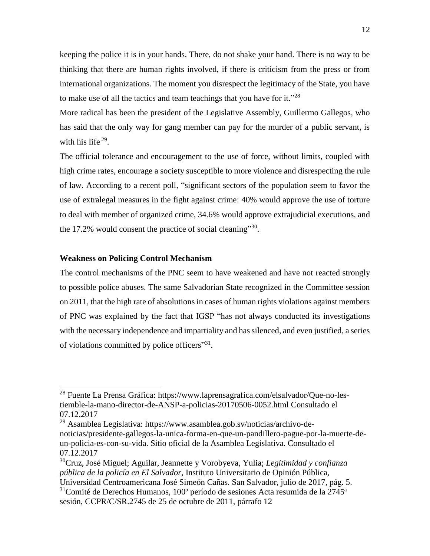keeping the police it is in your hands. There, do not shake your hand. There is no way to be thinking that there are human rights involved, if there is criticism from the press or from international organizations. The moment you disrespect the legitimacy of the State, you have to make use of all the tactics and team teachings that you have for it." $28$ 

More radical has been the president of the Legislative Assembly, Guillermo Gallegos, who has said that the only way for gang member can pay for the murder of a public servant, is with his life<sup>29</sup>.

The official tolerance and encouragement to the use of force, without limits, coupled with high crime rates, encourage a society susceptible to more violence and disrespecting the rule of law. According to a recent poll, "significant sectors of the population seem to favor the use of extralegal measures in the fight against crime: 40% would approve the use of torture to deal with member of organized crime, 34.6% would approve extrajudicial executions, and the 17.2% would consent the practice of social cleaning"<sup>30</sup>.

#### **Weakness on Policing Control Mechanism**

 $\overline{a}$ 

The control mechanisms of the PNC seem to have weakened and have not reacted strongly to possible police abuses. The same Salvadorian State recognized in the Committee session on 2011, that the high rate of absolutions in cases of human rights violations against members of PNC was explained by the fact that IGSP "has not always conducted its investigations with the necessary independence and impartiality and has silenced, and even justified, a series of violations committed by police officers"31.

<sup>28</sup> Fuente La Prensa Gráfica: https://www.laprensagrafica.com/elsalvador/Que-no-lestiemble-la-mano-director-de-ANSP-a-policias-20170506-0052.html Consultado el 07.12.2017

<sup>29</sup> Asamblea Legislativa: https://www.asamblea.gob.sv/noticias/archivo-denoticias/presidente-gallegos-la-unica-forma-en-que-un-pandillero-pague-por-la-muerte-deun-policia-es-con-su-vida. Sitio oficial de la Asamblea Legislativa. Consultado el 07.12.2017

<sup>30</sup>Cruz, José Miguel; Aguilar, Jeannette y Vorobyeva, Yulia; *Legitimidad y confianza pública de la policía en El Salvador*, Instituto Universitario de Opinión Pública, Universidad Centroamericana José Simeón Cañas. San Salvador, julio de 2017, pág. 5.

 $31$ Comité de Derechos Humanos, 100<sup>°</sup> período de sesiones Acta resumida de la 2745<sup>ª</sup> sesión, CCPR/C/SR.2745 de 25 de octubre de 2011, párrafo 12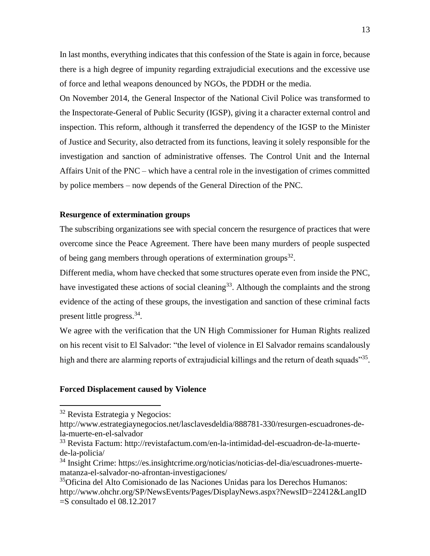In last months, everything indicates that this confession of the State is again in force, because there is a high degree of impunity regarding extrajudicial executions and the excessive use of force and lethal weapons denounced by NGOs, the PDDH or the media.

On November 2014, the General Inspector of the National Civil Police was transformed to the Inspectorate-General of Public Security (IGSP), giving it a character external control and inspection. This reform, although it transferred the dependency of the IGSP to the Minister of Justice and Security, also detracted from its functions, leaving it solely responsible for the investigation and sanction of administrative offenses. The Control Unit and the Internal Affairs Unit of the PNC – which have a central role in the investigation of crimes committed by police members – now depends of the General Direction of the PNC.

### **Resurgence of extermination groups**

The subscribing organizations see with special concern the resurgence of practices that were overcome since the Peace Agreement. There have been many murders of people suspected of being gang members through operations of extermination groups $^{32}$ .

Different media, whom have checked that some structures operate even from inside the PNC, have investigated these actions of social cleaning<sup>33</sup>. Although the complaints and the strong evidence of the acting of these groups, the investigation and sanction of these criminal facts present little progress.<sup>34</sup>.

We agree with the verification that the UN High Commissioner for Human Rights realized on his recent visit to El Salvador: "the level of violence in El Salvador remains scandalously high and there are alarming reports of extrajudicial killings and the return of death squads"<sup>35</sup>.

#### **Forced Displacement caused by Violence**

<sup>32</sup> Revista Estrategia y Negocios:

http://www.estrategiaynegocios.net/lasclavesdeldia/888781-330/resurgen-escuadrones-dela-muerte-en-el-salvador

<sup>33</sup> Revista Factum: http://revistafactum.com/en-la-intimidad-del-escuadron-de-la-muertede-la-policia/

<sup>34</sup> Insight Crime: https://es.insightcrime.org/noticias/noticias-del-dia/escuadrones-muertematanza-el-salvador-no-afrontan-investigaciones/

<sup>35</sup>Oficina del Alto Comisionado de las Naciones Unidas para los Derechos Humanos: http://www.ohchr.org/SP/NewsEvents/Pages/DisplayNews.aspx?NewsID=22412&LangID =S consultado el 08.12.2017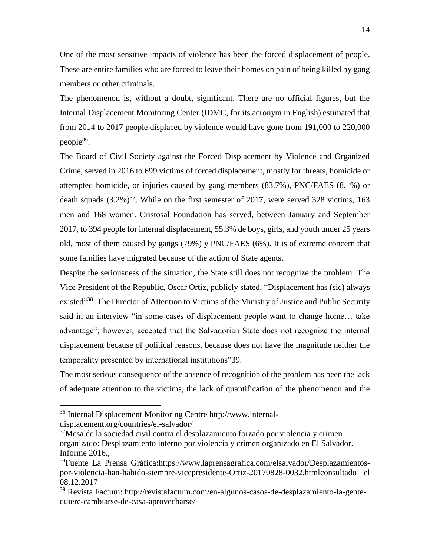One of the most sensitive impacts of violence has been the forced displacement of people. These are entire families who are forced to leave their homes on pain of being killed by gang members or other criminals.

The phenomenon is, without a doubt, significant. There are no official figures, but the Internal Displacement Monitoring Center (IDMC, for its acronym in English) estimated that from 2014 to 2017 people displaced by violence would have gone from 191,000 to 220,000 people<sup>36</sup>.

The Board of Civil Society against the Forced Displacement by Violence and Organized Crime, served in 2016 to 699 victims of forced displacement, mostly for threats, homicide or attempted homicide, or injuries caused by gang members (83.7%), PNC/FAES (8.1%) or death squads  $(3.2\%)^{37}$ . While on the first semester of 2017, were served 328 victims, 163 men and 168 women. Cristosal Foundation has served, between January and September 2017, to 394 people for internal displacement, 55.3% de boys, girls, and youth under 25 years old, most of them caused by gangs (79%) y PNC/FAES (6%). It is of extreme concern that some families have migrated because of the action of State agents.

Despite the seriousness of the situation, the State still does not recognize the problem. The Vice President of the Republic, Oscar Ortiz, publicly stated, "Displacement has (sic) always existed<sup>338</sup>. The Director of Attention to Victims of the Ministry of Justice and Public Security said in an interview "in some cases of displacement people want to change home… take advantage"; however, accepted that the Salvadorian State does not recognize the internal displacement because of political reasons, because does not have the magnitude neither the temporality presented by international institutions"39.

The most serious consequence of the absence of recognition of the problem has been the lack of adequate attention to the victims, the lack of quantification of the phenomenon and the

<sup>36</sup> Internal Displacement Monitoring Centre http://www.internaldisplacement.org/countries/el-salvador/

<sup>37</sup>Mesa de la sociedad civil contra el desplazamiento forzado por violencia y crimen organizado: Desplazamiento interno por violencia y crimen organizado en El Salvador. Informe 2016.,

<sup>&</sup>lt;sup>38</sup>Fuente La Prensa Gráfica:https://www.laprensagrafica.com/elsalvador/Desplazamientospor-violencia-han-habido-siempre-vicepresidente-Ortiz-20170828-0032.htmlconsultado el 08.12.2017

<sup>39</sup> Revista Factum: http://revistafactum.com/en-algunos-casos-de-desplazamiento-la-gentequiere-cambiarse-de-casa-aprovecharse/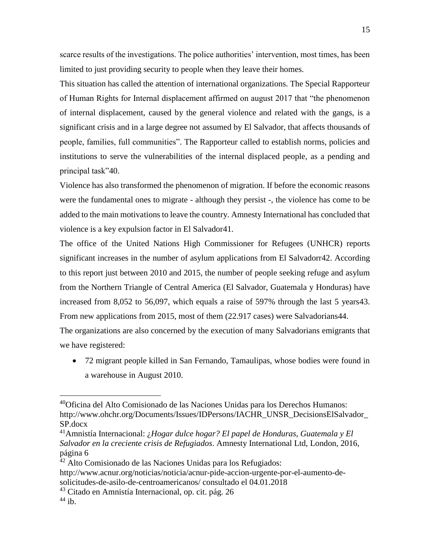scarce results of the investigations. The police authorities' intervention, most times, has been limited to just providing security to people when they leave their homes.

This situation has called the attention of international organizations. The Special Rapporteur of Human Rights for Internal displacement affirmed on august 2017 that "the phenomenon of internal displacement, caused by the general violence and related with the gangs, is a significant crisis and in a large degree not assumed by El Salvador, that affects thousands of people, families, full communities". The Rapporteur called to establish norms, policies and institutions to serve the vulnerabilities of the internal displaced people, as a pending and principal task"40.

Violence has also transformed the phenomenon of migration. If before the economic reasons were the fundamental ones to migrate - although they persist -, the violence has come to be added to the main motivations to leave the country. Amnesty International has concluded that violence is a key expulsion factor in El Salvador41.

The office of the United Nations High Commissioner for Refugees (UNHCR) reports significant increases in the number of asylum applications from El Salvadorr42. According to this report just between 2010 and 2015, the number of people seeking refuge and asylum from the Northern Triangle of Central America (El Salvador, Guatemala y Honduras) have increased from 8,052 to 56,097, which equals a raise of 597% through the last 5 years43. From new applications from 2015, most of them (22.917 cases) were Salvadorians44.

The organizations are also concerned by the execution of many Salvadorians emigrants that we have registered:

 72 migrant people killed in San Fernando, Tamaulipas, whose bodies were found in a warehouse in August 2010.

<sup>40</sup>Oficina del Alto Comisionado de las Naciones Unidas para los Derechos Humanos: http://www.ohchr.org/Documents/Issues/IDPersons/IACHR\_UNSR\_DecisionsElSalvador\_ SP.docx

<sup>41</sup>Amnistía Internacional: ¿*Hogar dulce hogar? El papel de Honduras, Guatemala y El Salvador en la creciente crisis de Refugiados*. Amnesty International Ltd, London, 2016, página 6

<sup>&</sup>lt;sup>42</sup> Alto Comisionado de las Naciones Unidas para los Refugiados:

http://www.acnur.org/noticias/noticia/acnur-pide-accion-urgente-por-el-aumento-desolicitudes-de-asilo-de-centroamericanos/ consultado el 04.01.2018

<sup>43</sup> Citado en Amnistía Internacional, op. cit. pág. 26

 $44$  ib.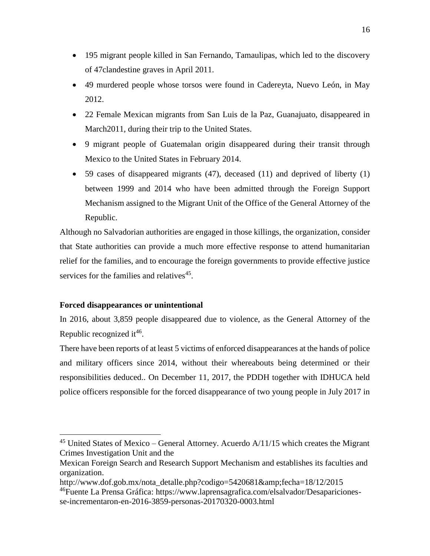- 195 migrant people killed in San Fernando, Tamaulipas, which led to the discovery of 47clandestine graves in April 2011.
- 49 murdered people whose torsos were found in Cadereyta, Nuevo León, in May 2012.
- 22 Female Mexican migrants from San Luis de la Paz, Guanajuato, disappeared in March2011, during their trip to the United States.
- 9 migrant people of Guatemalan origin disappeared during their transit through Mexico to the United States in February 2014.
- 59 cases of disappeared migrants (47), deceased (11) and deprived of liberty (1) between 1999 and 2014 who have been admitted through the Foreign Support Mechanism assigned to the Migrant Unit of the Office of the General Attorney of the Republic.

Although no Salvadorian authorities are engaged in those killings, the organization, consider that State authorities can provide a much more effective response to attend humanitarian relief for the families, and to encourage the foreign governments to provide effective justice services for the families and relatives<sup>45</sup>.

### **Forced disappearances or unintentional**

 $\overline{a}$ 

In 2016, about 3,859 people disappeared due to violence, as the General Attorney of the Republic recognized it<sup>46</sup>.

There have been reports of at least 5 victims of enforced disappearances at the hands of police and military officers since 2014, without their whereabouts being determined or their responsibilities deduced.. On December 11, 2017, the PDDH together with IDHUCA held police officers responsible for the forced disappearance of two young people in July 2017 in

 $45$  United States of Mexico – General Attorney. Acuerdo A/11/15 which creates the Migrant Crimes Investigation Unit and the

Mexican Foreign Search and Research Support Mechanism and establishes its faculties and organization.

http://www.dof.gob.mx/nota\_detalle.php?codigo=5420681&fecha=18/12/2015

<sup>&</sup>lt;sup>46</sup>Fuente La Prensa Gráfica: https://www.laprensagrafica.com/elsalvador/Desaparicionesse-incrementaron-en-2016-3859-personas-20170320-0003.html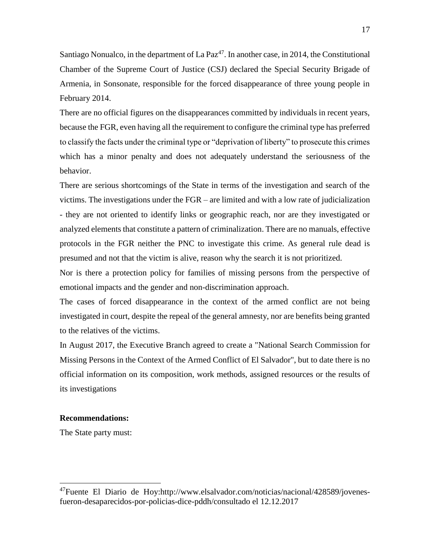Santiago Nonualco, in the department of La Paz<sup>47</sup>. In another case, in 2014, the Constitutional Chamber of the Supreme Court of Justice (CSJ) declared the Special Security Brigade of Armenia, in Sonsonate, responsible for the forced disappearance of three young people in February 2014.

There are no official figures on the disappearances committed by individuals in recent years, because the FGR, even having all the requirement to configure the criminal type has preferred to classify the facts under the criminal type or "deprivation of liberty" to prosecute this crimes which has a minor penalty and does not adequately understand the seriousness of the behavior.

There are serious shortcomings of the State in terms of the investigation and search of the victims. The investigations under the FGR – are limited and with a low rate of judicialization - they are not oriented to identify links or geographic reach, nor are they investigated or analyzed elements that constitute a pattern of criminalization. There are no manuals, effective protocols in the FGR neither the PNC to investigate this crime. As general rule dead is presumed and not that the victim is alive, reason why the search it is not prioritized.

Nor is there a protection policy for families of missing persons from the perspective of emotional impacts and the gender and non-discrimination approach.

The cases of forced disappearance in the context of the armed conflict are not being investigated in court, despite the repeal of the general amnesty, nor are benefits being granted to the relatives of the victims.

In August 2017, the Executive Branch agreed to create a "National Search Commission for Missing Persons in the Context of the Armed Conflict of El Salvador", but to date there is no official information on its composition, work methods, assigned resources or the results of its investigations

### **Recommendations:**

The State party must:

<sup>47</sup>Fuente El Diario de Hoy:http://www.elsalvador.com/noticias/nacional/428589/jovenesfueron-desaparecidos-por-policias-dice-pddh/consultado el 12.12.2017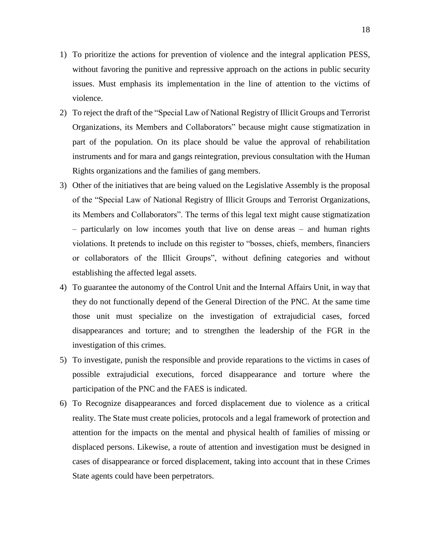- 1) To prioritize the actions for prevention of violence and the integral application PESS, without favoring the punitive and repressive approach on the actions in public security issues. Must emphasis its implementation in the line of attention to the victims of violence.
- 2) To reject the draft of the "Special Law of National Registry of Illicit Groups and Terrorist Organizations, its Members and Collaborators" because might cause stigmatization in part of the population. On its place should be value the approval of rehabilitation instruments and for mara and gangs reintegration, previous consultation with the Human Rights organizations and the families of gang members.
- 3) Other of the initiatives that are being valued on the Legislative Assembly is the proposal of the "Special Law of National Registry of Illicit Groups and Terrorist Organizations, its Members and Collaborators". The terms of this legal text might cause stigmatization – particularly on low incomes youth that live on dense areas – and human rights violations. It pretends to include on this register to "bosses, chiefs, members, financiers or collaborators of the Illicit Groups", without defining categories and without establishing the affected legal assets.
- 4) To guarantee the autonomy of the Control Unit and the Internal Affairs Unit, in way that they do not functionally depend of the General Direction of the PNC. At the same time those unit must specialize on the investigation of extrajudicial cases, forced disappearances and torture; and to strengthen the leadership of the FGR in the investigation of this crimes.
- 5) To investigate, punish the responsible and provide reparations to the victims in cases of possible extrajudicial executions, forced disappearance and torture where the participation of the PNC and the FAES is indicated.
- 6) To Recognize disappearances and forced displacement due to violence as a critical reality. The State must create policies, protocols and a legal framework of protection and attention for the impacts on the mental and physical health of families of missing or displaced persons. Likewise, a route of attention and investigation must be designed in cases of disappearance or forced displacement, taking into account that in these Crimes State agents could have been perpetrators.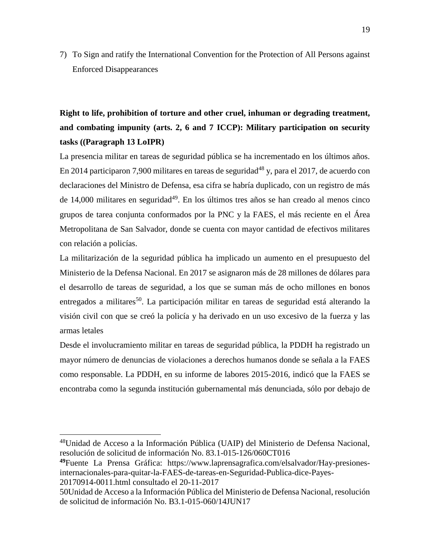7) To Sign and ratify the International Convention for the Protection of All Persons against Enforced Disappearances

**Right to life, prohibition of torture and other cruel, inhuman or degrading treatment, and combating impunity (arts. 2, 6 and 7 ICCP): Military participation on security tasks ((Paragraph 13 LoIPR)**

La presencia militar en tareas de seguridad pública se ha incrementado en los últimos años. En 2014 participaron 7,900 militares en tareas de seguridad<sup>48</sup> y, para el 2017, de acuerdo con declaraciones del Ministro de Defensa, esa cifra se habría duplicado, con un registro de más de 14,000 militares en seguridad $4^9$ . En los últimos tres años se han creado al menos cinco grupos de tarea conjunta conformados por la PNC y la FAES, el más reciente en el Área Metropolitana de San Salvador, donde se cuenta con mayor cantidad de efectivos militares con relación a policías.

La militarización de la seguridad pública ha implicado un aumento en el presupuesto del Ministerio de la Defensa Nacional. En 2017 se asignaron más de 28 millones de dólares para el desarrollo de tareas de seguridad, a los que se suman más de ocho millones en bonos entregados a militares<sup>50</sup>. La participación militar en tareas de seguridad está alterando la visión civil con que se creó la policía y ha derivado en un uso excesivo de la fuerza y las armas letales

Desde el involucramiento militar en tareas de seguridad pública, la PDDH ha registrado un mayor número de denuncias de violaciones a derechos humanos donde se señala a la FAES como responsable. La PDDH, en su informe de labores 2015-2016, indicó que la FAES se encontraba como la segunda institución gubernamental más denunciada, sólo por debajo de

<sup>48</sup>Unidad de Acceso a la Información Pública (UAIP) del Ministerio de Defensa Nacional, resolución de solicitud de información No. 83.1-015-126/060CT016

 $\overline{a}$ 

**49**Fuente La Prensa Gráfica: https://www.laprensagrafica.com/elsalvador/Hay-presionesinternacionales-para-quitar-la-FAES-de-tareas-en-Seguridad-Publica-dice-Payes-20170914-0011.html consultado el 20-11-2017

<sup>50</sup>Unidad de Acceso a la Información Pública del Ministerio de Defensa Nacional, resolución de solicitud de información No. B3.1-015-060/14JUN17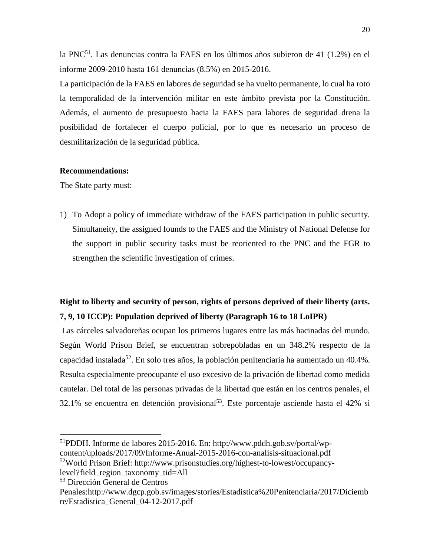la PNC<sup>51</sup>. Las denuncias contra la FAES en los últimos años subieron de 41 (1.2%) en el informe 2009-2010 hasta 161 denuncias (8.5%) en 2015-2016.

La participación de la FAES en labores de seguridad se ha vuelto permanente, lo cual ha roto la temporalidad de la intervención militar en este ámbito prevista por la Constitución. Además, el aumento de presupuesto hacia la FAES para labores de seguridad drena la posibilidad de fortalecer el cuerpo policial, por lo que es necesario un proceso de desmilitarización de la seguridad pública.

#### **Recommendations:**

The State party must:

1) To Adopt a policy of immediate withdraw of the FAES participation in public security. Simultaneity, the assigned founds to the FAES and the Ministry of National Defense for the support in public security tasks must be reoriented to the PNC and the FGR to strengthen the scientific investigation of crimes.

## **Right to liberty and security of person, rights of persons deprived of their liberty (arts. 7, 9, 10 ICCP): Population deprived of liberty (Paragraph 16 to 18 LoIPR)**

Las cárceles salvadoreñas ocupan los primeros lugares entre las más hacinadas del mundo. Según World Prison Brief, se encuentran sobrepobladas en un 348.2% respecto de la capacidad instalada<sup>52</sup>. En solo tres años, la población penitenciaria ha aumentado un 40.4%. Resulta especialmente preocupante el uso excesivo de la privación de libertad como medida cautelar. Del total de las personas privadas de la libertad que están en los centros penales, el 32.1% se encuentra en detención provisional<sup>53</sup>. Este porcentaje asciende hasta el 42% si

<sup>51</sup>PDDH. Informe de labores 2015-2016. En: http://www.pddh.gob.sv/portal/wpcontent/uploads/2017/09/Informe-Anual-2015-2016-con-analisis-situacional.pdf

<sup>52</sup>World Prison Brief: http://www.prisonstudies.org/highest-to-lowest/occupancy-

level?field\_region\_taxonomy\_tid=All

<sup>53</sup> Dirección General de Centros

Penales:http://www.dgcp.gob.sv/images/stories/Estadistica%20Penitenciaria/2017/Diciemb re/Estadistica\_General\_04-12-2017.pdf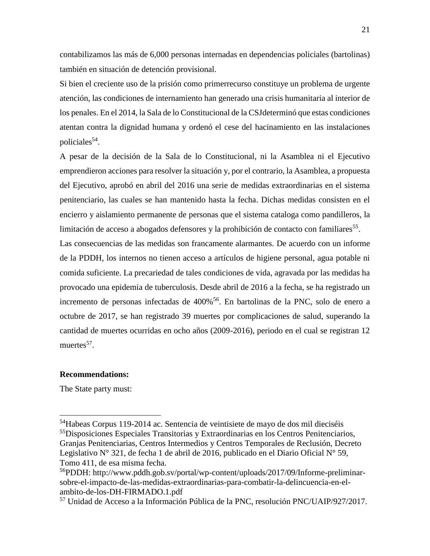contabilizamos las más de 6,000 personas internadas en dependencias policiales (bartolinas) también en situación de detención provisional.

Si bien el creciente uso de la prisión como primerrecurso constituye un problema de urgente atención, las condiciones de internamiento han generado una crisis humanitaria al interior de los penales. En el 2014, la Sala de lo Constitucional de la CSJdeterminó que estas condiciones atentan contra la dignidad humana y ordenó el cese del hacinamiento en las instalaciones policiales<sup>54</sup>.

A pesar de la decisión de la Sala de lo Constitucional, ni la Asamblea ni el Ejecutivo emprendieron acciones para resolver la situación y, por el contrario, la Asamblea, a propuesta del Ejecutivo, aprobó en abril del 2016 una serie de medidas extraordinarias en el sistema penitenciario, las cuales se han mantenido hasta la fecha. Dichas medidas consisten en el encierro y aislamiento permanente de personas que el sistema cataloga como pandilleros, la limitación de acceso a abogados defensores y la prohibición de contacto con familiares<sup>55</sup>.

Las consecuencias de las medidas son francamente alarmantes. De acuerdo con un informe de la PDDH, los internos no tienen acceso a artículos de higiene personal, agua potable ni comida suficiente. La precariedad de tales condiciones de vida, agravada por las medidas ha provocado una epidemia de tuberculosis. Desde abril de 2016 a la fecha, se ha registrado un incremento de personas infectadas de 400%<sup>56</sup>. En bartolinas de la PNC, solo de enero a octubre de 2017, se han registrado 39 muertes por complicaciones de salud, superando la cantidad de muertes ocurridas en ocho años (2009-2016), periodo en el cual se registran 12 muertes<sup>57</sup>.

### **Recommendations:**

The State party must:

<sup>54</sup>Habeas Corpus 119-2014 ac. Sentencia de veintisiete de mayo de dos mil dieciséis <sup>55</sup>Disposiciones Especiales Transitorias y Extraordinarias en los Centros Penitenciarios, Granjas Penitenciarias, Centros Intermedios y Centros Temporales de Reclusión, Decreto Legislativo  $N^{\circ}$  321, de fecha 1 de abril de 2016, publicado en el Diario Oficial  $N^{\circ}$  59, Tomo 411, de esa misma fecha.

<sup>&</sup>lt;sup>56</sup>PDDH: http://www.pddh.gob.sv/portal/wp-content/uploads/2017/09/Informe-preliminarsobre-el-impacto-de-las-medidas-extraordinarias-para-combatir-la-delincuencia-en-elambito-de-los-DH-FIRMADO.1.pdf

<sup>57</sup> Unidad de Acceso a la Información Pública de la PNC, resolución PNC/UAIP/927/2017.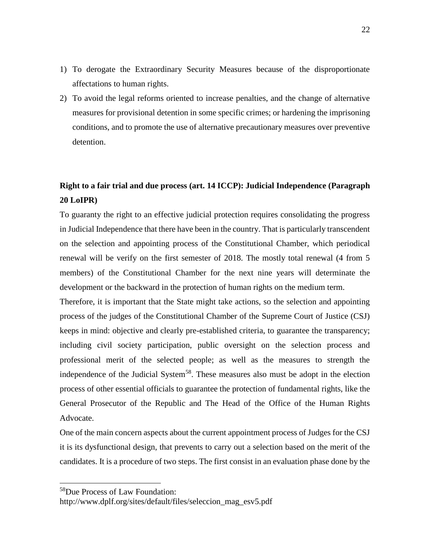- 1) To derogate the Extraordinary Security Measures because of the disproportionate affectations to human rights.
- 2) To avoid the legal reforms oriented to increase penalties, and the change of alternative measures for provisional detention in some specific crimes; or hardening the imprisoning conditions, and to promote the use of alternative precautionary measures over preventive detention.

# **Right to a fair trial and due process (art. 14 ICCP): Judicial Independence (Paragraph 20 LoIPR)**

To guaranty the right to an effective judicial protection requires consolidating the progress in Judicial Independence that there have been in the country. That is particularly transcendent on the selection and appointing process of the Constitutional Chamber, which periodical renewal will be verify on the first semester of 2018. The mostly total renewal (4 from 5 members) of the Constitutional Chamber for the next nine years will determinate the development or the backward in the protection of human rights on the medium term.

Therefore, it is important that the State might take actions, so the selection and appointing process of the judges of the Constitutional Chamber of the Supreme Court of Justice (CSJ) keeps in mind: objective and clearly pre-established criteria, to guarantee the transparency; including civil society participation, public oversight on the selection process and professional merit of the selected people; as well as the measures to strength the independence of the Judicial System<sup>58</sup>. These measures also must be adopt in the election process of other essential officials to guarantee the protection of fundamental rights, like the General Prosecutor of the Republic and The Head of the Office of the Human Rights Advocate.

One of the main concern aspects about the current appointment process of Judges for the CSJ it is its dysfunctional design, that prevents to carry out a selection based on the merit of the candidates. It is a procedure of two steps. The first consist in an evaluation phase done by the

<sup>58</sup>Due Process of Law Foundation:

http://www.dplf.org/sites/default/files/seleccion\_mag\_esv5.pdf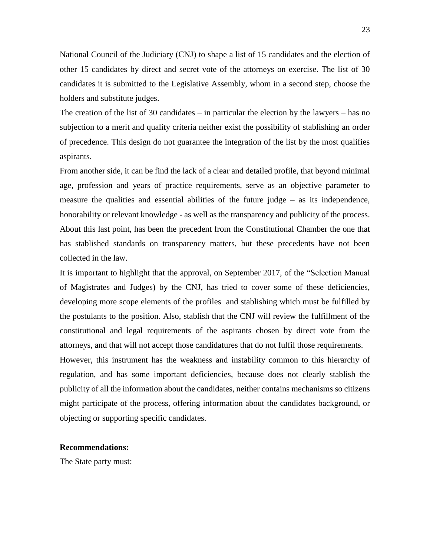National Council of the Judiciary (CNJ) to shape a list of 15 candidates and the election of other 15 candidates by direct and secret vote of the attorneys on exercise. The list of 30 candidates it is submitted to the Legislative Assembly, whom in a second step, choose the holders and substitute judges.

The creation of the list of 30 candidates – in particular the election by the lawyers – has no subjection to a merit and quality criteria neither exist the possibility of stablishing an order of precedence. This design do not guarantee the integration of the list by the most qualifies aspirants.

From another side, it can be find the lack of a clear and detailed profile, that beyond minimal age, profession and years of practice requirements, serve as an objective parameter to measure the qualities and essential abilities of the future judge – as its independence, honorability or relevant knowledge - as well as the transparency and publicity of the process. About this last point, has been the precedent from the Constitutional Chamber the one that has stablished standards on transparency matters, but these precedents have not been collected in the law.

It is important to highlight that the approval, on September 2017, of the "Selection Manual of Magistrates and Judges) by the CNJ, has tried to cover some of these deficiencies, developing more scope elements of the profiles and stablishing which must be fulfilled by the postulants to the position. Also, stablish that the CNJ will review the fulfillment of the constitutional and legal requirements of the aspirants chosen by direct vote from the attorneys, and that will not accept those candidatures that do not fulfil those requirements. However, this instrument has the weakness and instability common to this hierarchy of regulation, and has some important deficiencies, because does not clearly stablish the publicity of all the information about the candidates, neither contains mechanisms so citizens might participate of the process, offering information about the candidates background, or objecting or supporting specific candidates.

#### **Recommendations:**

The State party must: